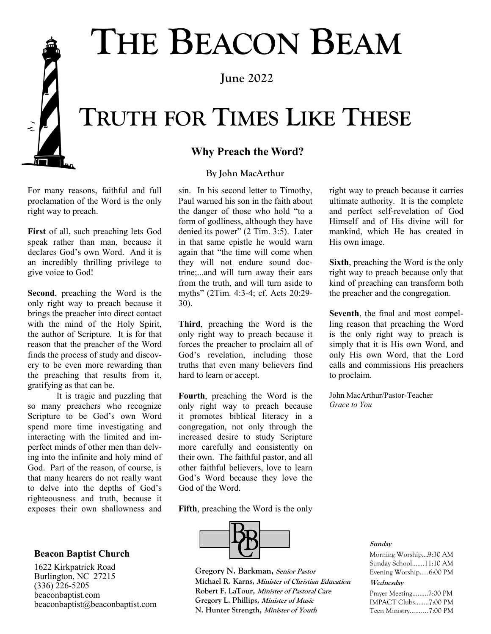# **THE BEACON BEAM**

**June 2022**

# **TRUTH FOR TIMES LIKE THESE**

### **Why Preach the Word?**

#### **By John MacArthur**

For many reasons, faithful and full proclamation of the Word is the only right way to preach.

**First** of all, such preaching lets God speak rather than man, because it declares God's own Word. And it is an incredibly thrilling privilege to give voice to God!

**Second**, preaching the Word is the only right way to preach because it brings the preacher into direct contact with the mind of the Holy Spirit, the author of Scripture. It is for that reason that the preacher of the Word finds the process of study and discovery to be even more rewarding than the preaching that results from it, gratifying as that can be.

It is tragic and puzzling that so many preachers who recognize Scripture to be God's own Word spend more time investigating and interacting with the limited and imperfect minds of other men than delving into the infinite and holy mind of God. Part of the reason, of course, is that many hearers do not really want to delve into the depths of God's righteousness and truth, because it exposes their own shallowness and

#### **Beacon Baptist Church**

1622 Kirkpatrick Road Burlington, NC 27215  $(336)$   $\bar{2}26 - 5205$ beaconbaptist.com beaconbaptist@beaconbaptist.com sin. In his second letter to Timothy, Paul warned his son in the faith about the danger of those who hold "to a form of godliness, although they have denied its power" (2 Tim. 3:5). Later in that same epistle he would warn again that "the time will come when they will not endure sound doctrine;...and will turn away their ears from the truth, and will turn aside to myths" (2Tim. 4:3-4; cf. Acts 20:29- 30).

**Third**, preaching the Word is the only right way to preach because it forces the preacher to proclaim all of God's revelation, including those truths that even many believers find hard to learn or accept.

**Fourth**, preaching the Word is the only right way to preach because it promotes biblical literacy in a congregation, not only through the increased desire to study Scripture more carefully and consistently on their own. The faithful pastor, and all other faithful believers, love to learn God's Word because they love the God of the Word.

**Fifth**, preaching the Word is the only



**1 N. Hunter Strength, Minister of Youth Gregory N. Barkman, Senior Pastor Michael R. Karns, Minister of Christian Education Robert F. LaTour, Minister of Pastoral Care Gregory L. Phillips, Minister of Music**

right way to preach because it carries ultimate authority. It is the complete and perfect self-revelation of God Himself and of His divine will for mankind, which He has created in His own image.

**Sixth**, preaching the Word is the only right way to preach because only that kind of preaching can transform both the preacher and the congregation.

**Seventh**, the final and most compelling reason that preaching the Word is the only right way to preach is simply that it is His own Word, and only His own Word, that the Lord calls and commissions His preachers to proclaim.

John MacArthur/Pastor-Teacher *Grace to You* 

#### **Sunday**

Morning Worship….9:30 AM Sunday School…....11:10 AM Evening Worship…..6:00 PM

#### **Wednesday**

Prayer Meeting…...…7:00 PM IMPACT Clubs........7:00 PM Teen Ministry……....7:00 PM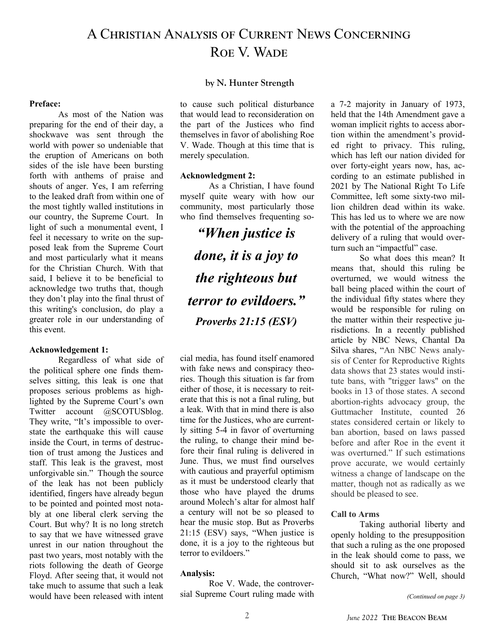# A Christian Analysis of Current News Concerning ROE V. WADE

#### **by N. Hunter Strength**

#### **Preface:**

As most of the Nation was preparing for the end of their day, a shockwave was sent through the world with power so undeniable that the eruption of Americans on both sides of the isle have been bursting forth with anthems of praise and shouts of anger. Yes, I am referring to the leaked draft from within one of the most tightly walled institutions in our country, the Supreme Court. In light of such a monumental event, I feel it necessary to write on the supposed leak from the Supreme Court and most particularly what it means for the Christian Church. With that said, I believe it to be beneficial to acknowledge two truths that, though they don't play into the final thrust of this writing's conclusion, do play a greater role in our understanding of this event.

#### **Acknowledgement 1:**

Regardless of what side of the political sphere one finds themselves sitting, this leak is one that proposes serious problems as highlighted by the Supreme Court's own Twitter account @SCOTUSblog. They write, "It's impossible to overstate the earthquake this will cause inside the Court, in terms of destruction of trust among the Justices and staff. This leak is the gravest, most unforgivable sin." Though the source of the leak has not been publicly identified, fingers have already begun to be pointed and pointed most notably at one liberal clerk serving the Court. But why? It is no long stretch to say that we have witnessed grave unrest in our nation throughout the past two years, most notably with the riots following the death of George Floyd. After seeing that, it would not take much to assume that such a leak would have been released with intent

to cause such political disturbance that would lead to reconsideration on the part of the Justices who find themselves in favor of abolishing Roe V. Wade. Though at this time that is merely speculation.

#### **Acknowledgment 2:**

As a Christian, I have found myself quite weary with how our community, most particularly those who find themselves frequenting so-

*"When justice is done, it is a joy to the righteous but terror to evildoers." Proverbs 21:15 (ESV)*

cial media, has found itself enamored with fake news and conspiracy theories. Though this situation is far from either of those, it is necessary to reiterate that this is not a final ruling, but a leak. With that in mind there is also time for the Justices, who are currently sitting 5-4 in favor of overturning the ruling, to change their mind before their final ruling is delivered in June. Thus, we must find ourselves with cautious and prayerful optimism as it must be understood clearly that those who have played the drums around Molech's altar for almost half a century will not be so pleased to hear the music stop. But as Proverbs 21:15 (ESV) says, "When justice is done, it is a joy to the righteous but terror to evildoers."

#### **Analysis:**

Roe V. Wade, the controversial Supreme Court ruling made with a 7-2 majority in January of 1973, held that the 14th Amendment gave a woman implicit rights to access abortion within the amendment's provided right to privacy. This ruling, which has left our nation divided for over forty-eight years now, has, according to an estimate published in 2021 by The National Right To Life Committee, left some sixty-two million children dead within its wake. This has led us to where we are now with the potential of the approaching delivery of a ruling that would overturn such an "impactful" case.

So what does this mean? It means that, should this ruling be overturned, we would witness the ball being placed within the court of the individual fifty states where they would be responsible for ruling on the matter within their respective jurisdictions. In a recently published article by NBC News, Chantal Da Silva shares, "An NBC News analysis of Center for Reproductive Rights data shows that 23 states would institute bans, with "trigger laws" on the books in 13 of those states. A second abortion-rights advocacy group, the Guttmacher Institute, counted 26 states considered certain or likely to ban abortion, based on laws passed before and after Roe in the event it was overturned." If such estimations prove accurate, we would certainly witness a change of landscape on the matter, though not as radically as we should be pleased to see.

#### **Call to Arms**

Taking authorial liberty and openly holding to the presupposition that such a ruling as the one proposed in the leak should come to pass, we should sit to ask ourselves as the Church, "What now?" Well, should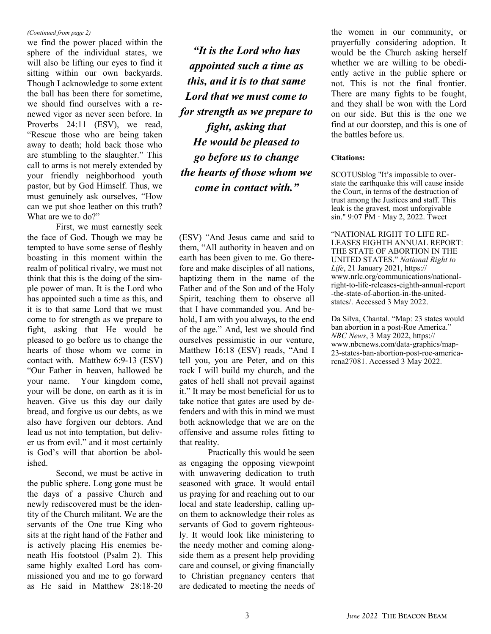#### *(Continued from page 2)*

we find the power placed within the sphere of the individual states, we will also be lifting our eyes to find it sitting within our own backyards. Though I acknowledge to some extent the ball has been there for sometime, we should find ourselves with a renewed vigor as never seen before. In Proverbs 24:11 (ESV), we read, "Rescue those who are being taken away to death; hold back those who are stumbling to the slaughter." This call to arms is not merely extended by your friendly neighborhood youth pastor, but by God Himself. Thus, we must genuinely ask ourselves, "How can we put shoe leather on this truth? What are we to do?"

First, we must earnestly seek the face of God. Though we may be tempted to have some sense of fleshly boasting in this moment within the realm of political rivalry, we must not think that this is the doing of the simple power of man. It is the Lord who has appointed such a time as this, and it is to that same Lord that we must come to for strength as we prepare to fight, asking that He would be pleased to go before us to change the hearts of those whom we come in contact with. Matthew 6:9-13 (ESV) "Our Father in heaven, hallowed be your name. Your kingdom come, your will be done, on earth as it is in heaven. Give us this day our daily bread, and forgive us our debts, as we also have forgiven our debtors. And lead us not into temptation, but deliver us from evil." and it most certainly is God's will that abortion be abolished.

Second, we must be active in the public sphere. Long gone must be the days of a passive Church and newly rediscovered must be the identity of the Church militant. We are the servants of the One true King who sits at the right hand of the Father and is actively placing His enemies beneath His footstool (Psalm 2). This same highly exalted Lord has commissioned you and me to go forward as He said in Matthew 28:18-20

*"It is the Lord who has appointed such a time as this, and it is to that same Lord that we must come to for strength as we prepare to fight, asking that He would be pleased to go before us to change the hearts of those whom we come in contact with."* 

(ESV) "And Jesus came and said to them, "All authority in heaven and on earth has been given to me. Go therefore and make disciples of all nations, baptizing them in the name of the Father and of the Son and of the Holy Spirit, teaching them to observe all that I have commanded you. And behold, I am with you always, to the end of the age." And, lest we should find ourselves pessimistic in our venture, Matthew 16:18 (ESV) reads, "And I tell you, you are Peter, and on this rock I will build my church, and the gates of hell shall not prevail against it." It may be most beneficial for us to take notice that gates are used by defenders and with this in mind we must both acknowledge that we are on the offensive and assume roles fitting to that reality.

Practically this would be seen as engaging the opposing viewpoint with unwavering dedication to truth seasoned with grace. It would entail us praying for and reaching out to our local and state leadership, calling upon them to acknowledge their roles as servants of God to govern righteously. It would look like ministering to the needy mother and coming alongside them as a present help providing care and counsel, or giving financially to Christian pregnancy centers that are dedicated to meeting the needs of

the women in our community, or prayerfully considering adoption. It would be the Church asking herself whether we are willing to be obediently active in the public sphere or not. This is not the final frontier. There are many fights to be fought, and they shall be won with the Lord on our side. But this is the one we find at our doorstep, and this is one of the battles before us.

#### **Citations:**

SCOTUSblog "It'[s impossible to over](https://twitter.com/scotusblog/status/1521295411545260035)[state the earthquake this will cause inside](https://twitter.com/scotusblog/status/1521295411545260035)  [the Court, in terms of the destruction of](https://twitter.com/scotusblog/status/1521295411545260035)  [trust among the Justices and staff. This](https://twitter.com/scotusblog/status/1521295411545260035)  [leak is the gravest, most unforgivable](https://twitter.com/scotusblog/status/1521295411545260035)  [sin." 9](https://twitter.com/scotusblog/status/1521295411545260035)[:07 PM · May 2, 2022.](https://twitter.com/SCOTUSblog/status/1521295411545260035) Tweet

"NATIONAL RIGHT TO LIFE RE-LEASES EIGHTH ANNUAL REPORT: THE STATE OF ABORTION IN THE UNITED STATES." *National Right to Life*, 21 January 2021, https:// www.nrlc.org/communications/nationalright-to-life-releases-eighth-annual-report -the-state-of-abortion-in-the-unitedstates/. Accessed 3 May 2022.

Da Silva, Chantal. "Map: 23 states would ban abortion in a post-Roe America." *NBC News*, 3 May 2022, https:// www.nbcnews.com/data-graphics/map-23-states-ban-abortion-post-roe-americarcna27081. Accessed 3 May 2022.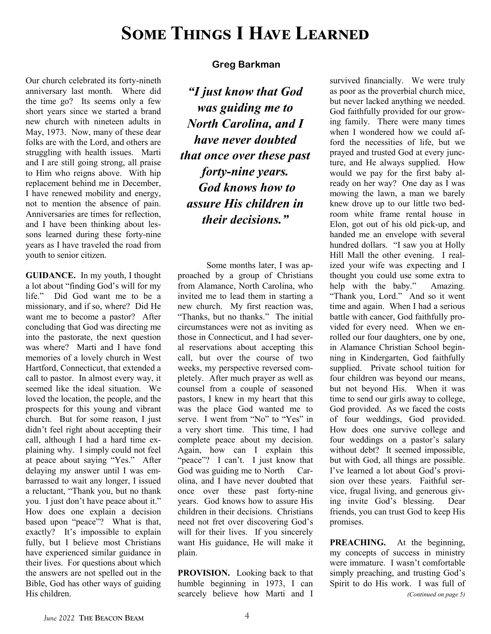# **Some Things I Have Learned**

Our church celebrated its forty-nineth anniversary last month. Where did the time go? Its seems only a few short years since we started a brand new church with nineteen adults in May, 1973. Now, many of these dear folks are with the Lord, and others are struggling with health issues. Marti and I are still going strong, all praise to Him who reigns above. With hip replacement behind me in December, I have renewed mobility and energy, not to mention the absence of pain. Anniversaries are times for reflection, and I have been thinking about lessons learned during these forty-nine years as I have traveled the road from youth to senior citizen.

**GUIDANCE.** In my youth, I thought a lot about "finding God's will for my life." Did God want me to be a missionary, and if so, where? Did He want me to become a pastor? After concluding that God was directing me into the pastorate, the next question was where? Marti and I have fond memories of a lovely church in West Hartford, Connecticut, that extended a call to pastor. In almost every way, it seemed like the ideal situation. We loved the location, the people, and the prospects for this young and vibrant church. But for some reason, I just didn't feel right about accepting their call, although I had a hard time explaining why. I simply could not feel at peace about saying "Yes." After delaying my answer until I was embarrassed to wait any longer, I issued a reluctant, "Thank you, but no thank you. I just don't have peace about it." How does one explain a decision based upon "peace"? What is that, exactly? It's impossible to explain fully, but I believe most Christians have experienced similar guidance in their lives. For questions about which the answers are not spelled out in the Bible, God has other ways of guiding His children.

#### **Greg Barkman**

*"I just know that God was guiding me to North Carolina, and I have never doubted that once over these past forty-nine years. God knows how to assure His children in their decisions."* 

Some months later, I was approached by a group of Christians from Alamance, North Carolina, who invited me to lead them in starting a new church. My first reaction was, "Thanks, but no thanks." The initial circumstances were not as inviting as those in Connecticut, and I had several reservations about accepting this call, but over the course of two weeks, my perspective reversed completely. After much prayer as well as counsel from a couple of seasoned pastors, I knew in my heart that this was the place God wanted me to serve. I went from "No" to "Yes" in a very short time. This time, I had complete peace about my decision. Again, how can I explain this "peace"? I can't. I just know that God was guiding me to North Carolina, and I have never doubted that once over these past forty-nine years. God knows how to assure His children in their decisions. Christians need not fret over discovering God's will for their lives. If you sincerely want His guidance, He will make it plain.

**PROVISION.** Looking back to that humble beginning in 1973, I can scarcely believe how Marti and I

survived financially. We were truly as poor as the proverbial church mice, but never lacked anything we needed. God faithfully provided for our growing family. There were many times when I wondered how we could afford the necessities of life, but we prayed and trusted God at every juncture, and He always supplied. How would we pay for the first baby already on her way? One day as I was mowing the lawn, a man we barely knew drove up to our little two bedroom white frame rental house in Elon, got out of his old pick-up, and handed me an envelope with several hundred dollars. "I saw you at Holly Hill Mall the other evening. I realized your wife was expecting and I thought you could use some extra to help with the baby." Amazing. "Thank you, Lord." And so it went time and again. When I had a serious battle with cancer, God faithfully provided for every need. When we enrolled our four daughters, one by one, in Alamance Christian School beginning in Kindergarten, God faithfully supplied. Private school tuition for four children was beyond our means, but not beyond His. When it was time to send our girls away to college, God provided. As we faced the costs of four weddings, God provided. How does one survive college and four weddings on a pastor's salary without debt? It seemed impossible, but with God, all things are possible. I've learned a lot about God's provision over these years. Faithful service, frugal living, and generous giving invite God's blessing. Dear friends, you can trust God to keep His promises.

**PREACHING.** At the beginning, my concepts of success in ministry were immature. I wasn't comfortable simply preaching, and trusting God's Spirit to do His work. I was full of *(Continued on page 5)*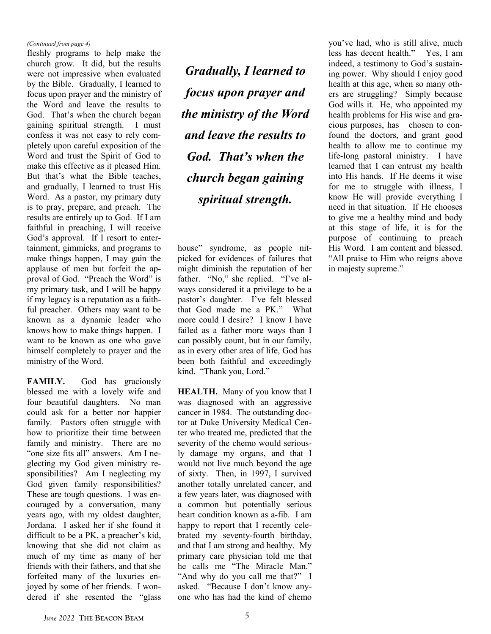#### *(Continued from page 4)*

fleshly programs to help make the church grow. It did, but the results were not impressive when evaluated by the Bible. Gradually, I learned to focus upon prayer and the ministry of the Word and leave the results to God. That's when the church began gaining spiritual strength. I must confess it was not easy to rely completely upon careful exposition of the Word and trust the Spirit of God to make this effective as it pleased Him. But that's what the Bible teaches, and gradually, I learned to trust His Word. As a pastor, my primary duty is to pray, prepare, and preach. The results are entirely up to God. If I am faithful in preaching, I will receive God's approval. If I resort to entertainment, gimmicks, and programs to make things happen, I may gain the applause of men but forfeit the approval of God. "Preach the Word" is my primary task, and I will be happy if my legacy is a reputation as a faithful preacher. Others may want to be known as a dynamic leader who knows how to make things happen. I want to be known as one who gave himself completely to prayer and the ministry of the Word.

FAMILY. God has graciously blessed me with a lovely wife and four beautiful daughters. No man could ask for a better nor happier family. Pastors often struggle with how to prioritize their time between family and ministry. There are no "one size fits all" answers. Am I neglecting my God given ministry responsibilities? Am I neglecting my God given family responsibilities? These are tough questions. I was encouraged by a conversation, many years ago, with my oldest daughter, Jordana. I asked her if she found it difficult to be a PK, a preacher's kid, knowing that she did not claim as much of my time as many of her friends with their fathers, and that she forfeited many of the luxuries enjoyed by some of her friends. I wondered if she resented the "glass

*Gradually, I learned to focus upon prayer and the ministry of the Word and leave the results to God. That's when the church began gaining spiritual strength.* 

house" syndrome, as people nitpicked for evidences of failures that might diminish the reputation of her father. "No," she replied. "I've always considered it a privilege to be a pastor's daughter. I've felt blessed that God made me a PK." What more could I desire? I know I have failed as a father more ways than I can possibly count, but in our family, as in every other area of life, God has been both faithful and exceedingly kind. "Thank you, Lord."

**HEALTH.** Many of you know that I was diagnosed with an aggressive cancer in 1984. The outstanding doctor at Duke University Medical Center who treated me, predicted that the severity of the chemo would seriously damage my organs, and that I would not live much beyond the age of sixty. Then, in 1997, I survived another totally unrelated cancer, and a few years later, was diagnosed with a common but potentially serious heart condition known as a-fib. I am happy to report that I recently celebrated my seventy-fourth birthday, and that I am strong and healthy. My primary care physician told me that he calls me "The Miracle Man." "And why do you call me that?" I asked. "Because I don't know anyone who has had the kind of chemo

you've had, who is still alive, much less has decent health." Yes, I am indeed, a testimony to God's sustaining power. Why should I enjoy good health at this age, when so many others are struggling? Simply because God wills it. He, who appointed my health problems for His wise and gracious purposes, has chosen to confound the doctors, and grant good health to allow me to continue my life-long pastoral ministry. I have learned that I can entrust my health into His hands. If He deems it wise for me to struggle with illness, I know He will provide everything I need in that situation. If He chooses to give me a healthy mind and body at this stage of life, it is for the purpose of continuing to preach His Word. I am content and blessed. "All praise to Him who reigns above in majesty supreme."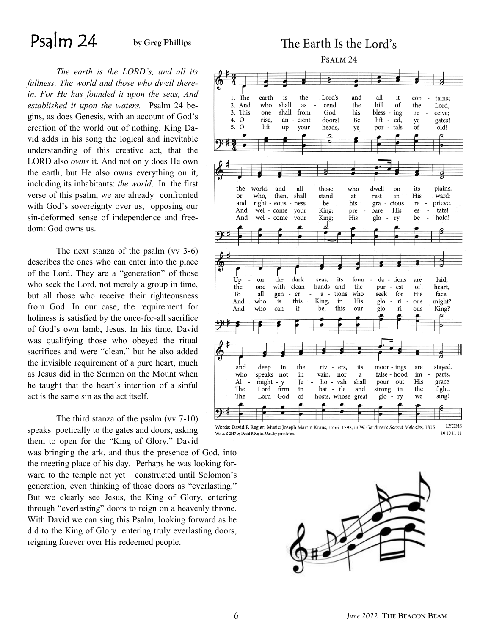# Psalm 24 **by Greg Phillips**

*The earth is the LORD's, and all its fullness, The world and those who dwell therein. For He has founded it upon the seas, And established it upon the waters.* Psalm 24 begins, as does Genesis, with an account of God's creation of the world out of nothing. King David adds in his song the logical and inevitable understanding of this creative act, that the LORD also *owns* it. And not only does He own the earth, but He also owns everything on it, including its inhabitants: *the world*. In the first verse of this psalm, we are already confronted with God's sovereignty over us, opposing our sin-deformed sense of independence and freedom: God owns us.

The next stanza of the psalm (vv 3-6) describes the ones who can enter into the place of the Lord. They are a "generation" of those who seek the Lord, not merely a group in time, but all those who receive their righteousness from God. In our case, the requirement for holiness is satisfied by the once-for-all sacrifice of God's own lamb, Jesus. In his time, David was qualifying those who obeyed the ritual sacrifices and were "clean," but he also added the invisible requirement of a pure heart, much as Jesus did in the Sermon on the Mount when he taught that the heart's intention of a sinful act is the same sin as the act itself.

The third stanza of the psalm (vv 7-10) speaks poetically to the gates and doors, asking them to open for the "King of Glory." David

was bringing the ark, and thus the presence of God, into the meeting place of his day. Perhaps he was looking forward to the temple not yet constructed until Solomon's generation, even thinking of those doors as "everlasting." But we clearly see Jesus, the King of Glory, entering through "everlasting" doors to reign on a heavenly throne. With David we can sing this Psalm, looking forward as he did to the King of Glory entering truly everlasting doors, reigning forever over His redeemed people.

### The Earth Is the Lord's PSALM<sub>24</sub>



Words: David P. Regier; Music: Joseph Martin Kraus, 1756-1792, in W. Gardiner's Sacred Melodies, 1815 10 10 11 11 .<br>Words © 2017 by David P. Regier. Used by permission

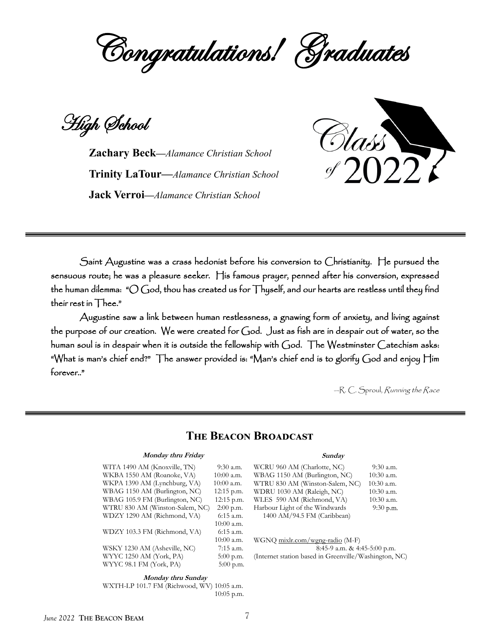

High School

**Zachary Beck—***Alamance Christian School* **Trinity LaTour—***Alamance Christian School* **Jack Verroi—***Alamance Christian School*



Saint Augustine was a crass hedonist before his conversion to Christianity. He pursued the sensuous route; he was a pleasure seeker. His famous prayer, penned after his conversion, expressed the human dilemma: " $\bigcirc$  God, thou has created us for Thyself, and our hearts are restless until they find their rest in Thee."

 Augustine saw a link between human restlessness, a gnawing form of anxiety, and living against the purpose of our creation. We were created for God. Just as fish are in despair out of water, so the human soul is in despair when it is outside the fellowship with God. The Westminster Catechism asks: "What is man's chief end?" The answer provided is: "Man's chief end is to glorify God and enjoy Him forever.."

—R. C. Sproul, Running the Race

#### **The Beacon Broadcast**

#### **Monday thru Friday**

| WITA 1490 AM (Knoxville, TN)    | 9:30 a.m.    |
|---------------------------------|--------------|
| WKBA 1550 AM (Roanoke, VA)      | $10:00$ a.m. |
| WKPA 1390 AM (Lynchburg, VA)    | $10:00$ a.m. |
| WBAG 1150 AM (Burlington, NC)   | 12:15 p.m.   |
| WBAG 105.9 FM (Burlington, NC)  | 12:15 p.m.   |
| WTRU 830 AM (Winston-Salem, NC) | $2:00$ p.m.  |
| WDZY 1290 AM (Richmond, VA)     | 6:15 a.m.    |
|                                 | $10:00$ a.m. |
| WDZY 103.3 FM (Richmond, VA)    | $6:15$ a.m.  |
|                                 | $10:00$ a.m. |
| WSKY 1230 AM (Asheville, NC)    | $7:15$ a.m.  |
| WYYC 1250 AM (York, PA)         | $5:00$ p.m.  |
| WYYC 98.1 FM (York, PA)         | $5:00$ p.m.  |
|                                 |              |

#### **Monday thru Sunday**

WXTH-LP 101.7 FM (Richwood, WV) 10:05 a.m. 10:05 p.m.

#### **Sunday**

WCRU 960 AM (Charlotte, NC) 9:30 a.m. WBAG 1150 AM (Burlington, NC) 10:30 a.m. WTRU 830 AM (Winston-Salem, NC) 10:30 a.m. WDRU 1030 AM (Raleigh, NC) 10:30 a.m. WLES 590 AM (Richmond, VA) 10:30 a.m. Harbour Light of the Windwards 9:30 p.m. 1400 AM/94.5 FM (Caribbean)

WGNQ mixlr.com/wgng-radio (M-F) 8:45-9 a.m. & 4:45-5:00 p.m. (Internet station based in Greenville/Washington, NC)